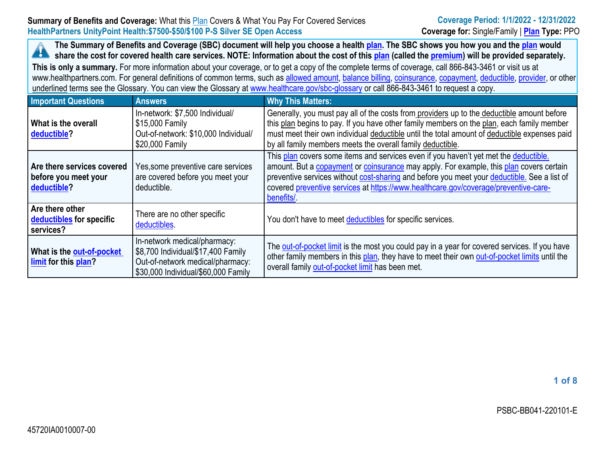The Summary of Benefits and Coverage (SBC) document will help you choose a health [plan](https://www.healthcare.gov/sbc-glossary/#plan). The SBC shows you how you and the plan would A share the cost for covered health care services. NOTE: Information about the cost of this [plan](https://www.healthcare.gov/sbc-glossary/#plan) (called the [premium\)](https://www.healthcare.gov/sbc-glossary/#premium) will be provided separately.

**This is only <sup>a</sup> summary.** For more information about your coverage, or to get <sup>a</sup> copy of the complete terms of coverage, call 866-843-3461 or visit us at www.healthpartners.com. For general definitions of common terms, such as allowed [amount](https://www.healthcare.gov/sbc-glossary/#allowed-amount), [balance](https://www.healthcare.gov/sbc-glossary/#balance-billing) billing, [coinsurance](https://www.healthcare.gov/sbc-glossary/#coinsurance), [copayment](https://www.healthcare.gov/sbc-glossary/#copayment), [deductible](https://www.healthcare.gov/sbc-glossary/#deductible), [provider](https://www.healthcare.gov/sbc-glossary/#provider), or other underlined terms see the Glossary. You can view the Glossary at [www.healthcare.gov/sbc-glossary](https://www.healthcare.gov/sbc-glossary) or call 866-843-3461 to request <sup>a</sup> copy.

| <b>Important Questions</b>                                        | <b>Answers</b>                                                                                                                                | <b>Why This Matters:</b>                                                                                                                                                                                                                                                                                                                                                           |  |  |
|-------------------------------------------------------------------|-----------------------------------------------------------------------------------------------------------------------------------------------|------------------------------------------------------------------------------------------------------------------------------------------------------------------------------------------------------------------------------------------------------------------------------------------------------------------------------------------------------------------------------------|--|--|
| What is the overall<br>deductible?                                | In-network: \$7,500 Individual/<br>\$15,000 Family<br>Out-of-network: \$10,000 Individual/<br>\$20,000 Family                                 | Generally, you must pay all of the costs from providers up to the deductible amount before<br>this plan begins to pay. If you have other family members on the plan, each family member<br>must meet their own individual deductible until the total amount of deductible expenses paid<br>by all family members meets the overall family deductible.                              |  |  |
| Are there services covered<br>before you meet your<br>deductible? | Yes, some preventive care services<br>are covered before you meet your<br>deductible.                                                         | This plan covers some items and services even if you haven't yet met the deductible.<br>amount. But a copayment or coinsurance may apply. For example, this plan covers certain<br>preventive services without cost-sharing and before you meet your deductible. See a list of<br>covered preventive services at https://www.healthcare.gov/coverage/preventive-care-<br>benefits/ |  |  |
| Are there other<br>deductibles for specific<br>services?          | There are no other specific<br>deductibles.                                                                                                   | You don't have to meet deductibles for specific services.                                                                                                                                                                                                                                                                                                                          |  |  |
| What is the out-of-pocket<br>limit for this plan?                 | In-network medical/pharmacy:<br>\$8,700 Individual/\$17,400 Family<br>Out-of-network medical/pharmacy:<br>\$30,000 Individual/\$60,000 Family | The out-of-pocket limit is the most you could pay in a year for covered services. If you have<br>other family members in this plan, they have to meet their own out-of-pocket limits until the<br>overall family out-of-pocket limit has been met.                                                                                                                                 |  |  |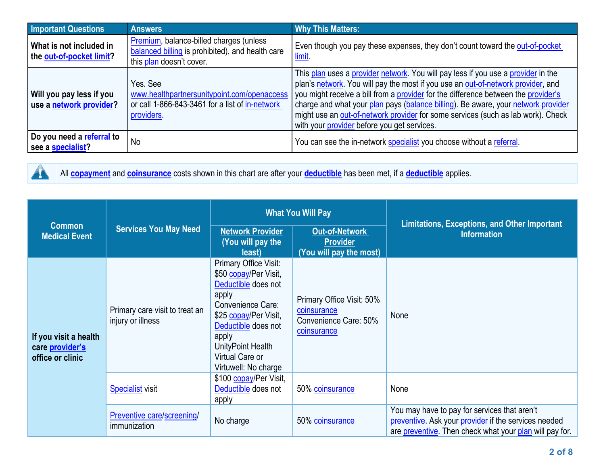| <b>Important Questions</b>                          | <b>Answers</b>                                                                                                           | <b>Why This Matters:</b>                                                                                                                                                                                                                                                                                                                                                                                                                                                            |
|-----------------------------------------------------|--------------------------------------------------------------------------------------------------------------------------|-------------------------------------------------------------------------------------------------------------------------------------------------------------------------------------------------------------------------------------------------------------------------------------------------------------------------------------------------------------------------------------------------------------------------------------------------------------------------------------|
| What is not included in<br>the out-of-pocket limit? | Premium, balance-billed charges (unless<br>balanced billing is prohibited), and health care<br>this plan doesn't cover.  | Even though you pay these expenses, they don't count toward the out-of-pocket<br><u>limit</u> .                                                                                                                                                                                                                                                                                                                                                                                     |
| Will you pay less if you<br>use a network provider? | Yes. See<br>www.healthpartnersunitypoint.com/openaccess<br>or call 1-866-843-3461 for a list of in-network<br>providers. | This plan uses a provider network. You will pay less if you use a provider in the<br>plan's network. You will pay the most if you use an out-of-network provider, and<br>you might receive a bill from a provider for the difference between the provider's<br>charge and what your plan pays (balance billing). Be aware, your network provider<br>might use an out-of-network provider for some services (such as lab work). Check<br>with your provider before you get services. |
| Do you need a referral to<br>see a specialist?      | No                                                                                                                       | You can see the in-network specialist you choose without a referral.                                                                                                                                                                                                                                                                                                                                                                                                                |



All **[copayment](https://www.healthcare.gov/sbc-glossary/#copayment)** and **[coinsurance](https://www.healthcare.gov/sbc-glossary/#coinsurance)** costs shown in this chart are after your **[deductible](https://www.healthcare.gov/sbc-glossary/#deductible)** has been met, if <sup>a</sup> **[deductible](https://www.healthcare.gov/sbc-glossary/#deductible)** applies.

|                                                              | <b>Services You May Need</b>                        | <b>What You Will Pay</b>                                                                                                                                                                                                     |                                                                                  | <b>Limitations, Exceptions, and Other Important</b>                                                                                                             |
|--------------------------------------------------------------|-----------------------------------------------------|------------------------------------------------------------------------------------------------------------------------------------------------------------------------------------------------------------------------------|----------------------------------------------------------------------------------|-----------------------------------------------------------------------------------------------------------------------------------------------------------------|
| <b>Common</b><br><b>Medical Event</b>                        |                                                     | <b>Network Provider</b><br>(You will pay the<br>least)                                                                                                                                                                       | <b>Out-of-Network</b><br><b>Provider</b><br>(You will pay the most)              | <b>Information</b>                                                                                                                                              |
| If you visit a health<br>care provider's<br>office or clinic | Primary care visit to treat an<br>injury or illness | Primary Office Visit:<br>\$50 copay/Per Visit,<br>Deductible does not<br>apply<br>Convenience Care:<br>\$25 copay/Per Visit,<br>Deductible does not<br>apply<br>UnityPoint Health<br>Virtual Care or<br>Virtuwell: No charge | Primary Office Visit: 50%<br>coinsurance<br>Convenience Care: 50%<br>coinsurance | None                                                                                                                                                            |
|                                                              | <b>Specialist visit</b>                             | \$100 copay/Per Visit,<br>Deductible does not<br>apply                                                                                                                                                                       | 50% coinsurance                                                                  | None                                                                                                                                                            |
|                                                              | Preventive care/screening/<br>immunization          | No charge                                                                                                                                                                                                                    | 50% coinsurance                                                                  | You may have to pay for services that aren't<br>preventive. Ask your provider if the services needed<br>are preventive. Then check what your plan will pay for. |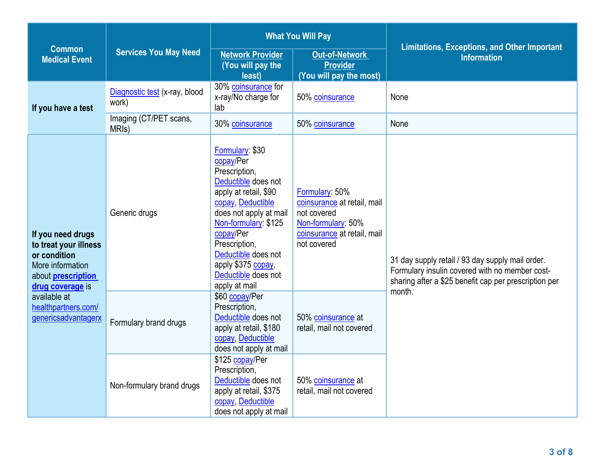|                                                                                                                                                                                               |                                              | <b>What You Will Pay</b>                                                                                                                                                                                                                                                                |                                                                                                                                  | <b>Limitations, Exceptions, and Other Important</b>                                                                                                         |  |
|-----------------------------------------------------------------------------------------------------------------------------------------------------------------------------------------------|----------------------------------------------|-----------------------------------------------------------------------------------------------------------------------------------------------------------------------------------------------------------------------------------------------------------------------------------------|----------------------------------------------------------------------------------------------------------------------------------|-------------------------------------------------------------------------------------------------------------------------------------------------------------|--|
| <b>Common</b><br><b>Medical Event</b>                                                                                                                                                         | <b>Services You May Need</b>                 | <b>Network Provider</b><br>(You will pay the<br>least)                                                                                                                                                                                                                                  | <b>Out-of-Network</b><br><b>Provider</b><br>(You will pay the most)                                                              | <b>Information</b>                                                                                                                                          |  |
| If you have a test                                                                                                                                                                            | Diagnostic test (x-ray, blood<br>work)       | 30% coinsurance for<br>x-ray/No charge for<br>lab                                                                                                                                                                                                                                       | 50% coinsurance                                                                                                                  | None                                                                                                                                                        |  |
|                                                                                                                                                                                               | Imaging (CT/PET scans,<br>MRI <sub>s</sub> ) | 30% coinsurance                                                                                                                                                                                                                                                                         | 50% coinsurance                                                                                                                  | None                                                                                                                                                        |  |
| If you need drugs<br>to treat your illness<br>or condition<br>More information<br>about <b>prescription</b><br>drug coverage is<br>available at<br>healthpartners.com/<br>genericsadvantagerx | Generic drugs                                | Formulary: \$30<br>copay/Per<br>Prescription,<br>Deductible does not<br>apply at retail, \$90<br>copay, Deductible<br>does not apply at mail<br>Non-formulary: \$125<br>copay/Per<br>Prescription,<br>Deductible does not<br>apply \$375 copay,<br>Deductible does not<br>apply at mail | Formulary: 50%<br>coinsurance at retail, mail<br>not covered<br>Non-formulary: 50%<br>coinsurance at retail, mail<br>not covered | 31 day supply retail / 93 day supply mail order.<br>Formulary insulin covered with no member cost-<br>sharing after a \$25 benefit cap per prescription per |  |
|                                                                                                                                                                                               | Formulary brand drugs                        | \$60 copay/Per<br>Prescription,<br>Deductible does not<br>apply at retail, \$180<br>copay, Deductible<br>does not apply at mail                                                                                                                                                         | 50% coinsurance at<br>retail, mail not covered                                                                                   | month.                                                                                                                                                      |  |
|                                                                                                                                                                                               | Non-formulary brand drugs                    | \$125 copay/Per<br>Prescription.<br>Deductible does not<br>apply at retail, \$375<br>copay, Deductible<br>does not apply at mail                                                                                                                                                        | 50% coinsurance at<br>retail, mail not covered                                                                                   |                                                                                                                                                             |  |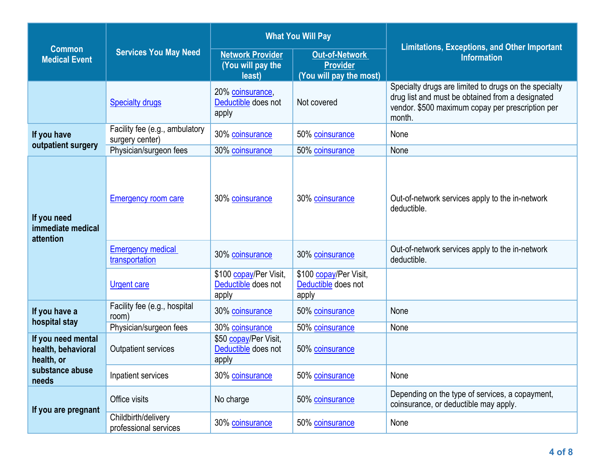|                                                        | <b>Services You May Need</b>                      |                                                        | <b>What You Will Pay</b>                                            |                                                                                                                                                                         |
|--------------------------------------------------------|---------------------------------------------------|--------------------------------------------------------|---------------------------------------------------------------------|-------------------------------------------------------------------------------------------------------------------------------------------------------------------------|
| <b>Common</b><br><b>Medical Event</b>                  |                                                   | <b>Network Provider</b><br>(You will pay the<br>least) | <b>Out-of-Network</b><br><b>Provider</b><br>(You will pay the most) | <b>Limitations, Exceptions, and Other Important</b><br><b>Information</b>                                                                                               |
|                                                        | <b>Specialty drugs</b>                            | 20% coinsurance,<br>Deductible does not<br>apply       | Not covered                                                         | Specialty drugs are limited to drugs on the specialty<br>drug list and must be obtained from a designated<br>vendor. \$500 maximum copay per prescription per<br>month. |
| If you have                                            | Facility fee (e.g., ambulatory<br>surgery center) | 30% coinsurance                                        | 50% coinsurance                                                     | None                                                                                                                                                                    |
| outpatient surgery                                     | Physician/surgeon fees                            | 30% coinsurance                                        | 50% coinsurance                                                     | None                                                                                                                                                                    |
| If you need<br>immediate medical<br>attention          | <b>Emergency room care</b>                        | 30% coinsurance                                        | 30% coinsurance                                                     | Out-of-network services apply to the in-network<br>deductible.                                                                                                          |
|                                                        | <b>Emergency medical</b><br>transportation        | 30% coinsurance                                        | 30% coinsurance                                                     | Out-of-network services apply to the in-network<br>deductible.                                                                                                          |
|                                                        | <b>Urgent care</b>                                | \$100 copay/Per Visit,<br>Deductible does not<br>apply | \$100 copay/Per Visit,<br>Deductible does not<br>apply              |                                                                                                                                                                         |
| If you have a<br>hospital stay                         | Facility fee (e.g., hospital<br>room)             | 30% coinsurance                                        | 50% coinsurance                                                     | None                                                                                                                                                                    |
|                                                        | Physician/surgeon fees                            | 30% coinsurance                                        | 50% coinsurance                                                     | None                                                                                                                                                                    |
| If you need mental<br>health, behavioral<br>health, or | <b>Outpatient services</b>                        | \$50 copay/Per Visit,<br>Deductible does not<br>apply  | 50% coinsurance                                                     |                                                                                                                                                                         |
| substance abuse<br>needs                               | Inpatient services                                | 30% coinsurance                                        | 50% coinsurance                                                     | None                                                                                                                                                                    |
| If you are pregnant                                    | Office visits                                     | No charge                                              | 50% coinsurance                                                     | Depending on the type of services, a copayment,<br>coinsurance, or deductible may apply.                                                                                |
|                                                        | Childbirth/delivery<br>professional services      | 30% coinsurance                                        | 50% coinsurance                                                     | None                                                                                                                                                                    |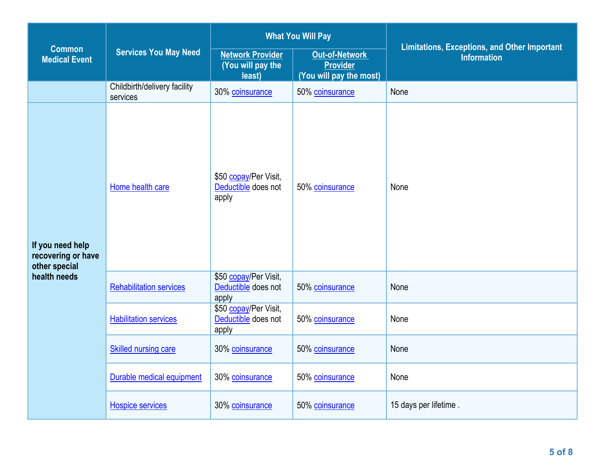|                                                                         | <b>Services You May Need</b>             | <b>What You Will Pay</b>                               |                                                                     |                                                                           |
|-------------------------------------------------------------------------|------------------------------------------|--------------------------------------------------------|---------------------------------------------------------------------|---------------------------------------------------------------------------|
| <b>Common</b><br><b>Medical Event</b>                                   |                                          | <b>Network Provider</b><br>(You will pay the<br>least) | <b>Out-of-Network</b><br><b>Provider</b><br>(You will pay the most) | <b>Limitations, Exceptions, and Other Important</b><br><b>Information</b> |
|                                                                         | Childbirth/delivery facility<br>services | 30% coinsurance                                        | 50% coinsurance                                                     | None                                                                      |
| If you need help<br>recovering or have<br>other special<br>health needs | Home health care                         | \$50 copay/Per Visit,<br>Deductible does not<br>apply  | 50% coinsurance                                                     | None                                                                      |
|                                                                         | <b>Rehabilitation services</b>           | \$50 copay/Per Visit,<br>Deductible does not<br>apply  | 50% coinsurance                                                     | None                                                                      |
|                                                                         | <b>Habilitation services</b>             | \$50 copay/Per Visit,<br>Deductible does not<br>apply  | 50% coinsurance                                                     | None                                                                      |
|                                                                         | Skilled nursing care                     | 30% coinsurance                                        | 50% coinsurance                                                     | None                                                                      |
|                                                                         | Durable medical equipment                | 30% coinsurance                                        | 50% coinsurance                                                     | None                                                                      |
|                                                                         | <b>Hospice services</b>                  | 30% coinsurance                                        | 50% coinsurance                                                     | 15 days per lifetime.                                                     |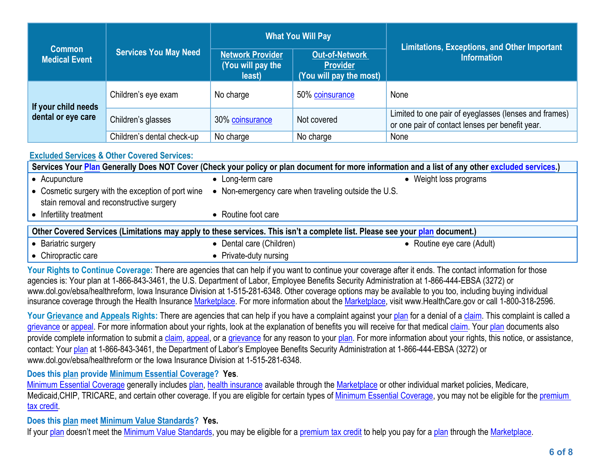|                                           |                              | <b>What You Will Pay</b>                               |                                                                     | <b>Limitations, Exceptions, and Other Important</b>                                                      |  |
|-------------------------------------------|------------------------------|--------------------------------------------------------|---------------------------------------------------------------------|----------------------------------------------------------------------------------------------------------|--|
| <b>Common</b><br><b>Medical Event</b>     | <b>Services You May Need</b> | <b>Network Provider</b><br>(You will pay the<br>least) | <b>Out-of-Network</b><br><b>Provider</b><br>(You will pay the most) | <b>Information</b>                                                                                       |  |
| If your child needs<br>dental or eye care | Children's eye exam          | No charge                                              | 50% coinsurance                                                     | None                                                                                                     |  |
|                                           | Children's glasses           | 30% coinsurance                                        | Not covered                                                         | Limited to one pair of eyeglasses (lenses and frames)<br>or one pair of contact lenses per benefit year. |  |
|                                           | Children's dental check-up   | No charge                                              | No charge                                                           | None                                                                                                     |  |

## **[Excluded](https://www.healthcare.gov/sbc-glossary/#excluded-services) Services & Other Covered Services:**

| Services Your Plan Generally Does NOT Cover (Check your policy or plan document for more information and a list of any other excluded services.) |                                                      |                        |  |
|--------------------------------------------------------------------------------------------------------------------------------------------------|------------------------------------------------------|------------------------|--|
| • Acupuncture                                                                                                                                    | • Long-term care                                     | • Weight loss programs |  |
| • Cosmetic surgery with the exception of port wine<br>stain removal and reconstructive surgery                                                   | • Non-emergency care when traveling outside the U.S. |                        |  |
| • Infertility treatment                                                                                                                          | • Routine foot care                                  |                        |  |
| Other Covered Services (Limitations may apply to these services. This isn't a complete list. Please see your plan document.)                     |                                                      |                        |  |

| $\bullet$ Bariatric surgery | • Dental care (Children) | • Routine eye care (Adult) |
|-----------------------------|--------------------------|----------------------------|
| $\bullet$ Chiropractic care | • Private-duty nursing   |                            |

Your Rights to Continue Coverage: There are agencies that can help if you want to continue your coverage after it ends. The contact information for those agencies is: Your plan at 1-866-843-3461, the U.S. Department of Labor, Employee Benefits Security Administration at 1-866-444-EBSA (3272) or www.dol.gov/ebsa/healthreform, Iowa Insurance Division at 1-515-281-6348. Other coverage options may be available to you too, including buying individual insurance coverage through the Health Insurance [Marketplace](https://www.healthcare.gov/sbc-glossary/#marketplace). For more information about the Marketplace, visit www.HealthCare.gov or call 1-800-318-2596.

Your Grievance and [Appeals](https://www.healthcare.gov/sbc-glossary/#appeal) Rights: There are agencies that can help if you have a complaint against your [plan](https://www.healthcare.gov/sbc-glossary/#plan) for a denial of a [claim](https://www.healthcare.gov/sbc-glossary/#claim). This complaint is called a [grievance](https://www.healthcare.gov/sbc-glossary/#grievance) or [appeal](https://www.healthcare.gov/sbc-glossary/#appeal). For more information about your rights, look at the explanation of benefits you will receive for that medical [claim](https://www.healthcare.gov/sbc-glossary/#claim). Your [plan](https://www.healthcare.gov/sbc-glossary/#plan) documents also provide complete information to submit a [claim](https://www.healthcare.gov/sbc-glossary/#claim), [appeal](https://www.healthcare.gov/sbc-glossary/#appeal), or a [grievance](https://www.healthcare.gov/sbc-glossary/#grievance) for any reason to your [plan](https://www.healthcare.gov/sbc-glossary/#plan). For more information about your rights, this notice, or assistance, contact: Your [plan](https://www.healthcare.gov/sbc-glossary/#plan) at 1-866-843-3461, the Department of Labor'<sup>s</sup> Employee Benefits Security Administration at 1-866-444-EBSA (3272) or www.dol.gov/ebsa/healthreform or the Iowa Insurance Division at 1-515-281-6348.

## **Does this plan provide Minimum Essential Coverage? Yes**.

Minimum Essential [Coverage](https://www.healthcare.gov/sbc-glossary/#minimum-essential-coverage) generally includes [plan](https://www.healthcare.gov/sbc-glossary/#plan), health [insurance](https://www.healthcare.gov/sbc-glossary/#health-insurance) available through the [Marketplace](https://www.healthcare.gov/sbc-glossary/#marketplace) or other individual market policies, Medicare, Medicaid, CHIP, TRICARE, and certain other coverage. If you are eligible for certain types of Minimum Essential [Coverage](https://www.healthcare.gov/sbc-glossary/#minimum-essential-coverage), you may not be eligible for the [premium](https://www.healthcare.gov/sbc-glossary/#premium-tax-credits) tax [credit](https://www.healthcare.gov/sbc-glossary/#premium-tax-credits).

**Does this plan meet Minimum Value Standards? Yes.**

If your [plan](https://www.healthcare.gov/sbc-glossary/#plan) doesn't meet the Minimum Value [Standards](https://www.healthcare.gov/sbc-glossary/#minimum-value-standard), you may be eligible for a [premium](https://www.healthcare.gov/sbc-glossary/#premium-tax-credits) tax credit to help you pay for a plan through the [Marketplace](https://www.healthcare.gov/sbc-glossary/#marketplace).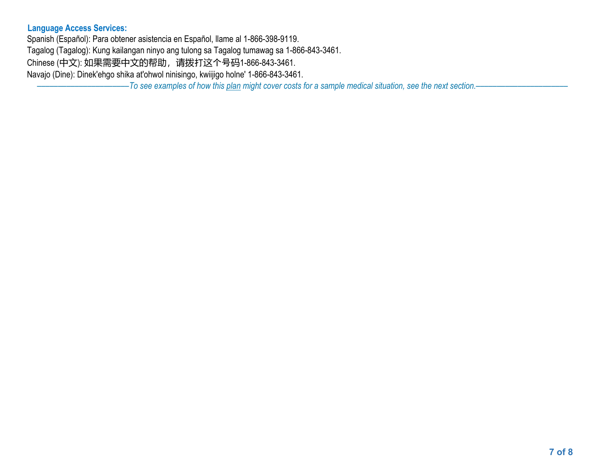## **Language Access Services:**

Spanish (Español): Para obtener asistencia en Español, llame al 1-866-398-9119. Tagalog (Tagalog): Kung kailangan ninyo ang tulong sa Tagalog tumawag sa 1-866-843-3461.

Chinese (中文): 如果需要中文的帮助,请拨打这个号码1-866-843-3461.

Navajo (Dine): Dinek'ehgo shika at'ohwol ninisingo, kwiijigo holne' 1-866-843-3461.

-To see examples of how this [plan](https://www.healthcare.gov/sbc-glossary/#plan) might cover costs for a sample medical situation, see the next section.-